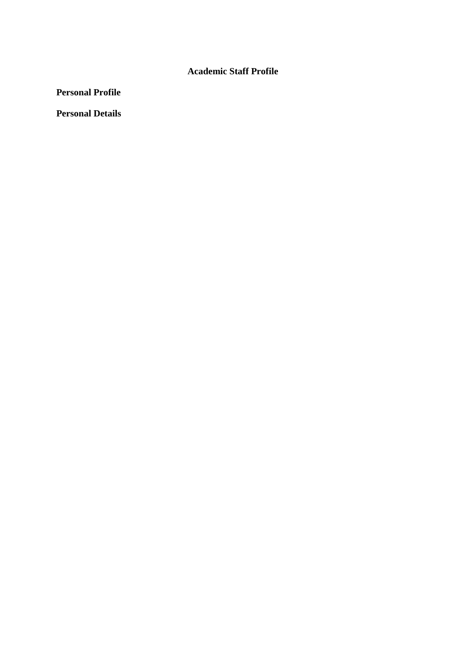## **Academic Staff Profile**

**Personal Profile**

**Personal Details**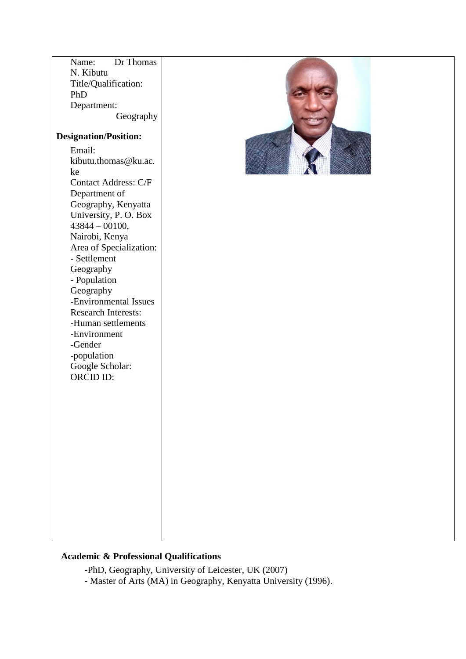| Dr Thomas<br>Name:<br>N. Kibutu<br>Title/Qualification:<br>PhD<br>Department:<br>Geography<br><b>Designation/Position:</b>                                                                                                                                                                                                                                                                                             |  |
|------------------------------------------------------------------------------------------------------------------------------------------------------------------------------------------------------------------------------------------------------------------------------------------------------------------------------------------------------------------------------------------------------------------------|--|
| Email:<br>kibutu.thomas@ku.ac.<br>ke<br><b>Contact Address: C/F</b><br>Department of<br>Geography, Kenyatta<br>University, P. O. Box<br>$43844 - 00100,$<br>Nairobi, Kenya<br>Area of Specialization:<br>- Settlement<br>Geography<br>- Population<br>Geography<br>-Environmental Issues<br><b>Research Interests:</b><br>-Human settlements<br>-Environment<br>-Gender<br>-population<br>Google Scholar:<br>ORCID ID: |  |

# **Academic & Professional Qualifications**

-PhD, Geography, University of Leicester, UK (2007)

- Master of Arts (MA) in Geography, Kenyatta University (1996).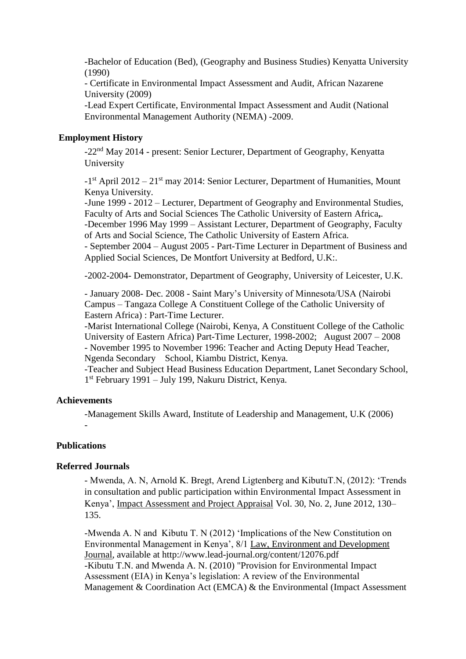-Bachelor of Education (Bed), (Geography and Business Studies) Kenyatta University (1990)

- Certificate in Environmental Impact Assessment and Audit, African Nazarene University (2009)

-Lead Expert Certificate, Environmental Impact Assessment and Audit (National Environmental Management Authority (NEMA) -2009.

## **Employment History**

-22nd May 2014 - present: Senior Lecturer, Department of Geography, Kenyatta University

-1<sup>st</sup> April 2012 – 21<sup>st</sup> may 2014: Senior Lecturer, Department of Humanities, Mount Kenya University.

-June 1999 - 2012 – Lecturer, Department of Geography and Environmental Studies, Faculty of Arts and Social Sciences The Catholic University of Eastern Africa**,**.

-December 1996 May 1999 – Assistant Lecturer, Department of Geography, Faculty of Arts and Social Science, The Catholic University of Eastern Africa.

- September 2004 – August 2005 - Part-Time Lecturer in Department of Business and Applied Social Sciences, De Montfort University at Bedford, U.K:.

-2002-2004- Demonstrator, Department of Geography, University of Leicester, U.K.

- January 2008- Dec. 2008 - Saint Mary's University of Minnesota/USA (Nairobi Campus – Tangaza College A Constituent College of the Catholic University of Eastern Africa) : Part-Time Lecturer.

-Marist International College (Nairobi, Kenya, A Constituent College of the Catholic University of Eastern Africa) Part-Time Lecturer, 1998-2002; August 2007 – 2008 - November 1995 to November 1996: Teacher and Acting Deputy Head Teacher, Ngenda Secondary School, Kiambu District, Kenya.

-Teacher and Subject Head Business Education Department, Lanet Secondary School, 1 st February 1991 – July 199, Nakuru District, Kenya.

### **Achievements**

-Management Skills Award, Institute of Leadership and Management, U.K (2006) -

## **Publications**

### **Referred Journals**

- Mwenda, A. N, Arnold K. Bregt, Arend Ligtenberg and KibutuT.N, (2012): 'Trends in consultation and public participation within Environmental Impact Assessment in Kenya', Impact Assessment and Project Appraisal Vol. 30, No. 2, June 2012, 130– 135.

-Mwenda A. N and Kibutu T. N (2012) 'Implications of the New Constitution on Environmental Management in Kenya', 8/1 Law, Environment and Development Journal, available at http://www.lead-journal.org/content/12076.pdf -Kibutu T.N. and Mwenda A. N. (2010) "Provision for Environmental Impact Assessment (EIA) in Kenya's legislation: A review of the Environmental Management & Coordination Act (EMCA) & the Environmental (Impact Assessment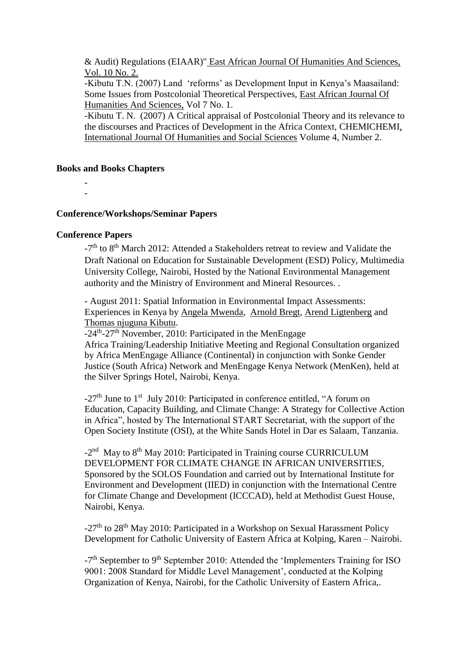& Audit) Regulations (EIAAR)" East African Journal Of Humanities And Sciences, Vol. 10 No. 2.

-Kibutu T.N. (2007) Land 'reforms' as Development Input in Kenya's Maasailand: Some Issues from Postcolonial Theoretical Perspectives, East African Journal Of Humanities And Sciences, Vol 7 No. 1.

-Kibutu T. N. (2007) A Critical appraisal of Postcolonial Theory and its relevance to the discourses and Practices of Development in the Africa Context, CHEMICHEMI, International Journal Of Humanities and Social Sciences Volume 4, Number 2.

### **Books and Books Chapters**

- -

### **Conference/Workshops/Seminar Papers**

#### **Conference Papers**

-7<sup>th</sup> to 8<sup>th</sup> March 2012: Attended a Stakeholders retreat to review and Validate the Draft National on Education for Sustainable Development (ESD) Policy, Multimedia University College, Nairobi, Hosted by the National Environmental Management authority and the Ministry of Environment and Mineral Resources. .

- August 2011: Spatial Information in Environmental Impact Assessments: Experiences in Kenya by [Angela Mwenda,](https://www.researchgate.net/profile/Angela-Mwenda) [Arnold Bregt,](https://www.researchgate.net/profile/Arnold-Bregt) [Arend Ligtenberg](https://www.researchgate.net/profile/Arend-Ligtenberg) and [Thomas njuguna Kibutu.](https://www.researchgate.net/profile/Thomas-Kibutu)

-24<sup>th</sup>-27<sup>th</sup> November, 2010: Participated in the MenEngage

Africa Training/Leadership Initiative Meeting and Regional Consultation organized by Africa MenEngage Alliance (Continental) in conjunction with Sonke Gender Justice (South Africa) Network and MenEngage Kenya Network (MenKen), held at the Silver Springs Hotel, Nairobi, Kenya.

-27<sup>th</sup> June to 1<sup>st</sup> July 2010: Participated in conference entitled, "A forum on Education, Capacity Building, and Climate Change: A Strategy for Collective Action in Africa", hosted by The International START Secretariat, with the support of the Open Society Institute (OSI), at the White Sands Hotel in Dar es Salaam, Tanzania.

-2<sup>nd</sup> May to 8<sup>th</sup> May 2010: Participated in Training course CURRICULUM DEVELOPMENT FOR CLIMATE CHANGE IN AFRICAN UNIVERSITIES, Sponsored by the SOLOS Foundation and carried out by International Institute for Environment and Development (IIED) in conjunction with the International Centre for Climate Change and Development (ICCCAD), held at Methodist Guest House, Nairobi, Kenya.

 $-27<sup>th</sup>$  to 28<sup>th</sup> May 2010: Participated in a Workshop on Sexual Harassment Policy Development for Catholic University of Eastern Africa at Kolping, Karen – Nairobi.

-7<sup>th</sup> September to 9<sup>th</sup> September 2010: Attended the 'Implementers Training for ISO 9001: 2008 Standard for Middle Level Management', conducted at the Kolping Organization of Kenya, Nairobi, for the Catholic University of Eastern Africa,.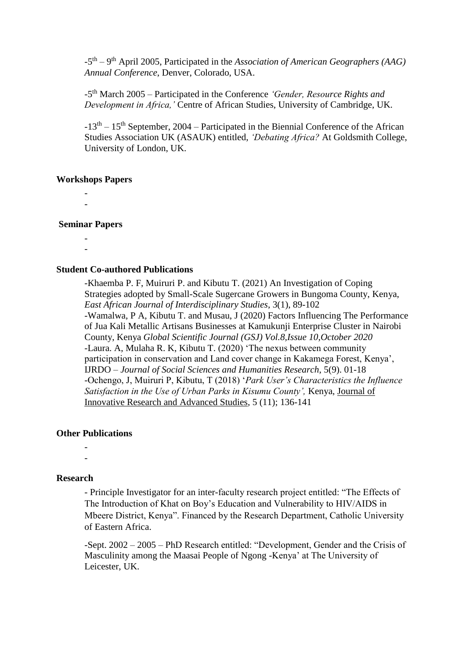-5<sup>th</sup> – 9<sup>th</sup> April 2005, Participated in the *Association of American Geographers (AAG) Annual Conference*, Denver, Colorado, USA.

-5 th March 2005 – Participated in the Conference *'Gender, Resource Rights and Development in Africa,'* Centre of African Studies, University of Cambridge, UK.

 $-13<sup>th</sup> - 15<sup>th</sup>$  September, 2004 – Participated in the Biennial Conference of the African Studies Association UK (ASAUK) entitled, *'Debating Africa?* At Goldsmith College, University of London, UK.

#### **Workshops Papers**

- -

#### **Seminar Papers**

- -

#### **Student Co-authored Publications**

-Khaemba P. F, Muiruri P. and Kibutu T. (2021) An Investigation of Coping Strategies adopted by Small-Scale Sugercane Growers in Bungoma County, Kenya, *East African Journal of Interdisciplinary Studies*, 3(1), 89-102 -Wamalwa, P A, Kibutu T. and Musau, J (2020) Factors Influencing The Performance of Jua Kali Metallic Artisans Businesses at Kamukunji Enterprise Cluster in Nairobi County, Kenya *Global Scientific Journal (GSJ) Vol.8,Issue 10,October 2020* -Laura. A, Mulaha R. K, Kibutu T. (2020) 'The nexus between community participation in conservation and Land cover change in Kakamega Forest, Kenya', IJRDO – *Journal of Social Sciences and Humanities Research*, 5(9). 01-18 -Ochengo, J, Muiruri P, Kibutu, T (2018) '*Park User's Characteristics the Influence Satisfaction in the Use of Urban Parks in Kisumu County',* Kenya, Journal of Innovative Research and Advanced Studies, 5 (11); 136-141

### **Other Publications**

- -

#### **Research**

- Principle Investigator for an inter-faculty research project entitled: "The Effects of The Introduction of Khat on Boy's Education and Vulnerability to HIV/AIDS in Mbeere District, Kenya". Financed by the Research Department, Catholic University of Eastern Africa.

-Sept. 2002 – 2005 – PhD Research entitled: "Development, Gender and the Crisis of Masculinity among the Maasai People of Ngong -Kenya' at The University of Leicester, UK.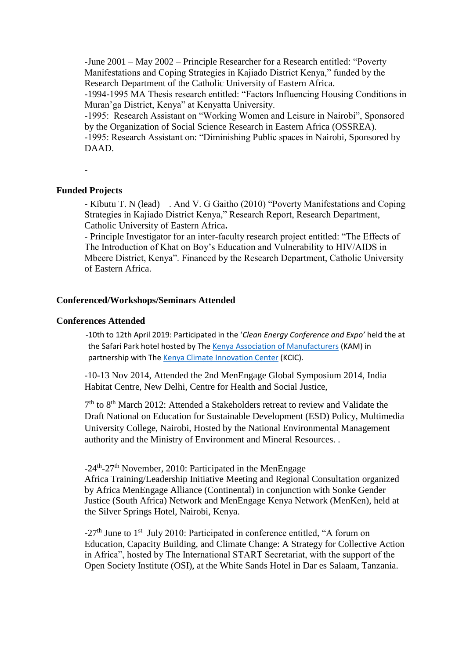-June 2001 – May 2002 – Principle Researcher for a Research entitled: "Poverty Manifestations and Coping Strategies in Kajiado District Kenya," funded by the Research Department of the Catholic University of Eastern Africa.

-1994-1995 MA Thesis research entitled: "Factors Influencing Housing Conditions in Muran'ga District, Kenya" at Kenyatta University.

-1995: Research Assistant on "Working Women and Leisure in Nairobi", Sponsored by the Organization of Social Science Research in Eastern Africa (OSSREA).

-1995: Research Assistant on: "Diminishing Public spaces in Nairobi, Sponsored by DAAD.

-

## **Funded Projects**

- Kibutu T. N (lead) . And V. G Gaitho (2010) "Poverty Manifestations and Coping Strategies in Kajiado District Kenya," Research Report, Research Department, Catholic University of Eastern Africa**.**

- Principle Investigator for an inter-faculty research project entitled: "The Effects of The Introduction of Khat on Boy's Education and Vulnerability to HIV/AIDS in Mbeere District, Kenya". Financed by the Research Department, Catholic University of Eastern Africa.

#### **Conferenced/Workshops/Seminars Attended**

#### **Conferences Attended**

 -10th to 12th April 2019: Participated in the '*Clean Energy Conference and Expo'* held the at the Safari Park hotel hosted by Th[e Kenya Association of Manufacturers](http://kam.co.ke/) (KAM) in partnership with Th[e Kenya Climate Innovation Center](https://kenyacic.org/) (KCIC).

-10-13 Nov 2014, Attended the 2nd MenEngage Global Symposium 2014, India Habitat Centre, New Delhi, Centre for Health and Social Justice,

7<sup>th</sup> to 8<sup>th</sup> March 2012: Attended a Stakeholders retreat to review and Validate the Draft National on Education for Sustainable Development (ESD) Policy, Multimedia University College, Nairobi, Hosted by the National Environmental Management authority and the Ministry of Environment and Mineral Resources. .

-24<sup>th</sup>-27<sup>th</sup> November, 2010: Participated in the MenEngage

Africa Training/Leadership Initiative Meeting and Regional Consultation organized by Africa MenEngage Alliance (Continental) in conjunction with Sonke Gender Justice (South Africa) Network and MenEngage Kenya Network (MenKen), held at the Silver Springs Hotel, Nairobi, Kenya.

-27<sup>th</sup> June to 1<sup>st</sup> July 2010: Participated in conference entitled, "A forum on Education, Capacity Building, and Climate Change: A Strategy for Collective Action in Africa", hosted by The International START Secretariat, with the support of the Open Society Institute (OSI), at the White Sands Hotel in Dar es Salaam, Tanzania.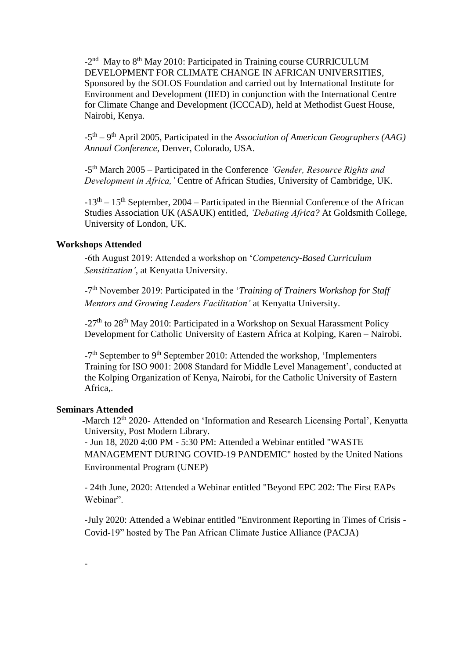-2<sup>nd</sup> May to 8<sup>th</sup> May 2010: Participated in Training course CURRICULUM DEVELOPMENT FOR CLIMATE CHANGE IN AFRICAN UNIVERSITIES, Sponsored by the SOLOS Foundation and carried out by International Institute for Environment and Development (IIED) in conjunction with the International Centre for Climate Change and Development (ICCCAD), held at Methodist Guest House, Nairobi, Kenya.

-5<sup>th</sup> – 9<sup>th</sup> April 2005, Participated in the *Association of American Geographers (AAG) Annual Conference*, Denver, Colorado, USA.

-5 th March 2005 – Participated in the Conference *'Gender, Resource Rights and Development in Africa,'* Centre of African Studies, University of Cambridge, UK.

 $-13<sup>th</sup> - 15<sup>th</sup>$  September, 2004 – Participated in the Biennial Conference of the African Studies Association UK (ASAUK) entitled, *'Debating Africa?* At Goldsmith College, University of London, UK.

## **Workshops Attended**

-6th August 2019: Attended a workshop on '*Competency-Based Curriculum Sensitization'*, at Kenyatta University.

-7 th November 2019: Participated in the '*Training of Trainers Workshop for Staff Mentors and Growing Leaders Facilitation'* at Kenyatta University.

 $-27<sup>th</sup>$  to 28<sup>th</sup> May 2010: Participated in a Workshop on Sexual Harassment Policy Development for Catholic University of Eastern Africa at Kolping, Karen – Nairobi.

-7<sup>th</sup> September to 9<sup>th</sup> September 2010: Attended the workshop, 'Implementers Training for ISO 9001: 2008 Standard for Middle Level Management', conducted at the Kolping Organization of Kenya, Nairobi, for the Catholic University of Eastern Africa,.

## **Seminars Attended**

-

**-March 12<sup>th</sup> 2020- Attended on 'Information and Research Licensing Portal', Kenyatta** University, Post Modern Library.

- Jun 18, 2020 4:00 PM - 5:30 PM: Attended a Webinar entitled "WASTE MANAGEMENT DURING COVID-19 PANDEMIC" hosted by the United Nations Environmental Program (UNEP)

- 24th June, 2020: Attended a Webinar entitled "Beyond EPC 202: The First EAPs Webinar".

-July 2020: Attended a Webinar entitled "Environment Reporting in Times of Crisis - Covid-19" hosted by The Pan African Climate Justice Alliance (PACJA)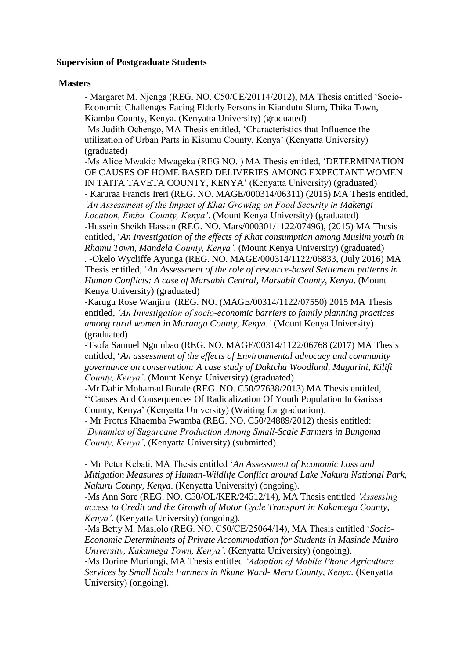#### **Supervision of Postgraduate Students**

#### **Masters**

- Margaret M. Njenga (REG. NO. C50/CE/20114/2012), MA Thesis entitled 'Socio-Economic Challenges Facing Elderly Persons in Kiandutu Slum, Thika Town, Kiambu County, Kenya. (Kenyatta University) (graduated)

-Ms Judith Ochengo, MA Thesis entitled, 'Characteristics that Influence the utilization of Urban Parts in Kisumu County, Kenya' (Kenyatta University) (graduated)

-Ms Alice Mwakio Mwageka (REG NO. ) MA Thesis entitled, 'DETERMINATION OF CAUSES OF HOME BASED DELIVERIES AMONG EXPECTANT WOMEN IN TAITA TAVETA COUNTY, KENYA' (Kenyatta University) (graduated) - Karuraa Francis Ireri (REG. NO. MAGE/000314/06311) (2015) MA Thesis entitled, *'An Assessment of the Impact of Khat Growing on Food Security in Makengi Location, Embu County, Kenya'*. (Mount Kenya University) (graduated) -Hussein Sheikh Hassan (REG. NO. Mars/000301/1122/07496), (2015) MA Thesis entitled, '*An Investigation of the effects of Khat consumption among Muslim youth in Rhamu Town, Mandela County, Kenya'*. (Mount Kenya University) (graduated) . -Okelo Wycliffe Ayunga (REG. NO. MAGE/000314/1122/06833, (July 2016) MA Thesis entitled, '*An Assessment of the role of resource-based Settlement patterns in Human Conflicts: A case of Marsabit Central, Marsabit County, Kenya*. (Mount Kenya University) (graduated)

-Karugu Rose Wanjiru (REG. NO. (MAGE/00314/1122/07550) 2015 MA Thesis entitled, *'An Investigation of socio-economic barriers to family planning practices among rural women in Muranga County, Kenya.'* (Mount Kenya University) (graduated)

-Tsofa Samuel Ngumbao (REG. NO. MAGE/00314/1122/06768 (2017) MA Thesis entitled, '*An assessment of the effects of Environmental advocacy and community governance on conservation: A case study of Daktcha Woodland, Magarini, Kilifi County, Kenya'*. (Mount Kenya University) (graduated)

-Mr Dahir Mohamad Burale (REG. NO. C50/27638/2013) MA Thesis entitled, ''Causes And Consequences Of Radicalization Of Youth Population In Garissa County, Kenya' (Kenyatta University) (Waiting for graduation).

- Mr Protus Khaemba Fwamba (REG. NO. C50/24889/2012) thesis entitled: *'Dynamics of Sugarcane Production Among Small-Scale Farmers in Bungoma County, Kenya'*, (Kenyatta University) (submitted).

- Mr Peter Kebati, MA Thesis entitled '*An Assessment of Economic Loss and Mitigation Measures of Human-Wildlife Conflict around Lake Nakuru National Park, Nakuru County, Kenya*. (Kenyatta University) (ongoing).

-Ms Ann Sore (REG. NO. C50/OL/KER/24512/14), MA Thesis entitled *'Assessing access to Credit and the Growth of Motor Cycle Transport in Kakamega County, Kenya'*. (Kenyatta University) (ongoing).

-Ms Betty M. Masiolo (REG. NO. C50/CE/25064/14), MA Thesis entitled '*Socio-Economic Determinants of Private Accommodation for Students in Masinde Muliro University, Kakamega Town, Kenya'*. (Kenyatta University) (ongoing).

-Ms Dorine Muriungi, MA Thesis entitled *'Adoption of Mobile Phone Agriculture Services by Small Scale Farmers in Nkune Ward- Meru County, Kenya.* (Kenyatta University) (ongoing).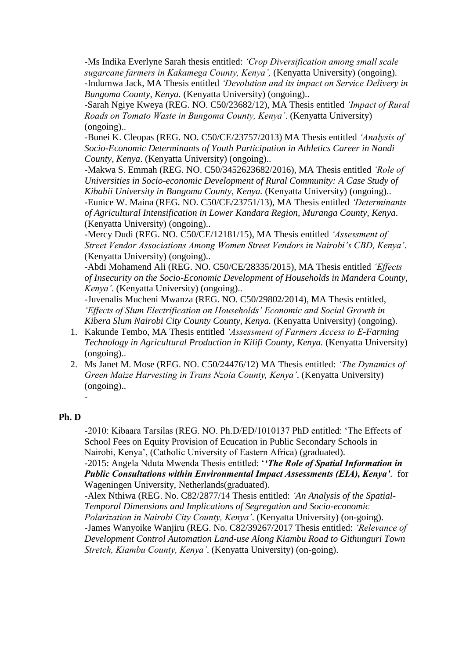-Ms Indika Everlyne Sarah thesis entitled: *'Crop Diversification among small scale sugarcane farmers in Kakamega County, Kenya',* (Kenyatta University) (ongoing). -Indumwa Jack, MA Thesis entitled *'Devolution and its impact on Service Delivery in Bungoma County, Kenya.* (Kenyatta University) (ongoing)..

-Sarah Ngiye Kweya (REG. NO. C50/23682/12), MA Thesis entitled *'Impact of Rural Roads on Tomato Waste in Bungoma County, Kenya'*. (Kenyatta University) (ongoing)..

-Bunei K. Cleopas (REG. NO. C50/CE/23757/2013) MA Thesis entitled *'Analysis of Socio-Economic Determinants of Youth Participation in Athletics Career in Nandi County, Kenya*. (Kenyatta University) (ongoing)..

-Makwa S. Emmah (REG. NO. C50/3452623682/2016), MA Thesis entitled *'Role of Universities in Socio-economic Development of Rural Community: A Case Study of Kibabii University in Bungoma County, Kenya.* (Kenyatta University) (ongoing).. -Eunice W. Maina (REG. NO. C50/CE/23751/13), MA Thesis entitled *'Determinants of Agricultural Intensification in Lower Kandara Region, Muranga County, Kenya*. (Kenyatta University) (ongoing)..

-Mercy Dudi (REG. NO. C50/CE/12181/15), MA Thesis entitled *'Assessment of Street Vendor Associations Among Women Street Vendors in Nairobi's CBD, Kenya'*. (Kenyatta University) (ongoing)..

-Abdi Mohamend Ali (REG. NO. C50/CE/28335/2015), MA Thesis entitled *'Effects of Insecurity on the Socio-Economic Development of Households in Mandera County, Kenya'*. (Kenyatta University) (ongoing)..

-Juvenalis Mucheni Mwanza (REG. NO. C50/29802/2014), MA Thesis entitled, *'Effects of Slum Electrification on Households' Economic and Social Growth in Kibera Slum Nairobi City County County, Kenya.* (Kenyatta University) (ongoing).

- 1. Kakunde Tembo, MA Thesis entitled *'Assessment of Farmers Access to E-Farming Technology in Agricultural Production in Kilifi County, Kenya.* (Kenyatta University) (ongoing)..
- 2. Ms Janet M. Mose (REG. NO. C50/24476/12) MA Thesis entitled: *'The Dynamics of Green Maize Harvesting in Trans Nzoia County, Kenya'*. (Kenyatta University) (ongoing).. -

## **Ph. D**

-2010: Kibaara Tarsilas (REG. NO. Ph.D/ED/1010137 PhD entitled: 'The Effects of School Fees on Equity Provision of Ecucation in Public Secondary Schools in Nairobi, Kenya', (Catholic University of Eastern Africa) (graduated).

-2015: Angela Nduta Mwenda Thesis entitled: '*'The Role of Spatial Information in Public Consultations within Environmental Impact Assessments (EIA), Kenya'.* for Wageningen University, Netherlands(graduated).

-Alex Nthiwa (REG. No. C82/2877/14 Thesis entitled: *'An Analysis of the Spatial-Temporal Dimensions and Implications of Segregation and Socio-economic Polarization in Nairobi City County, Kenya'*. (Kenyatta University) (on-going). -James Wanyoike Wanjiru (REG. No. C82/39267/2017 Thesis entitled: *'Relevance of Development Control Automation Land-use Along Kiambu Road to Githunguri Town Stretch, Kiambu County, Kenya'*. (Kenyatta University) (on-going).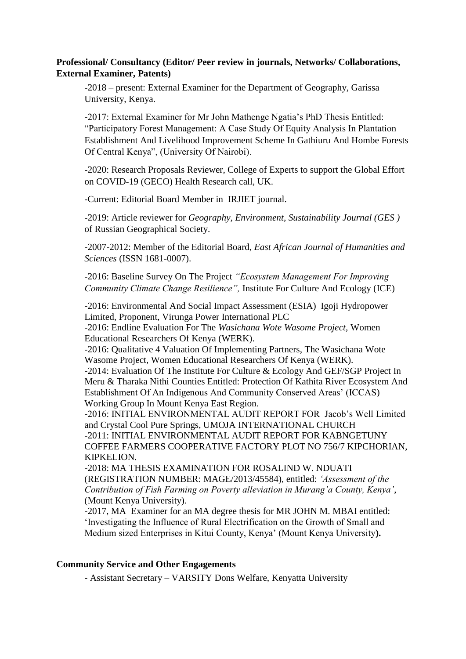## **Professional/ Consultancy (Editor/ Peer review in journals, Networks/ Collaborations, External Examiner, Patents)**

-2018 – present: External Examiner for the Department of Geography, Garissa University, Kenya.

-2017: External Examiner for Mr John Mathenge Ngatia's PhD Thesis Entitled: "Participatory Forest Management: A Case Study Of Equity Analysis In Plantation Establishment And Livelihood Improvement Scheme In Gathiuru And Hombe Forests Of Central Kenya", (University Of Nairobi).

-2020: Research Proposals Reviewer, College of Experts to support the Global Effort on COVID-19 (GECO) Health Research call, UK.

-Current: Editorial Board Member in IRJIET journal.

-2019: Article reviewer for *Geography, Environment, Sustainability Journal (GES )* of Russian Geographical Society.

-2007-2012: Member of the Editorial Board, *East African Journal of Humanities and Sciences* (ISSN 1681-0007).

-2016: Baseline Survey On The Project *"Ecosystem Management For Improving Community Climate Change Resilience",* Institute For Culture And Ecology (ICE)

-2016: Environmental And Social Impact Assessment (ESIA) Igoji Hydropower Limited, Proponent, Virunga Power International PLC

-2016: Endline Evaluation For The *Wasichana Wote Wasome Project,* Women Educational Researchers Of Kenya (WERK).

-2016: Qualitative 4 Valuation Of Implementing Partners, The Wasichana Wote Wasome Project, Women Educational Researchers Of Kenya (WERK).

-2014: Evaluation Of The Institute For Culture & Ecology And GEF/SGP Project In Meru & Tharaka Nithi Counties Entitled: Protection Of Kathita River Ecosystem And Establishment Of An Indigenous And Community Conserved Areas' (ICCAS) Working Group In Mount Kenya East Region.

-2016: INITIAL ENVIRONMENTAL AUDIT REPORT FOR Jacob's Well Limited and Crystal Cool Pure Springs, UMOJA INTERNATIONAL CHURCH -2011: INITIAL ENVIRONMENTAL AUDIT REPORT FOR KABNGETUNY COFFEE FARMERS COOPERATIVE FACTORY PLOT NO 756/7 KIPCHORIAN, KIPKELION.

-2018: MA THESIS EXAMINATION FOR ROSALIND W. NDUATI (REGISTRATION NUMBER: MAGE/2013/45584), entitled: *'Assessment of the Contribution of Fish Farming on Poverty alleviation in Murang'a County, Kenya'*, (Mount Kenya University).

-2017, MA Examiner for an MA degree thesis for MR JOHN M. MBAI entitled: 'Investigating the Influence of Rural Electrification on the Growth of Small and Medium sized Enterprises in Kitui County, Kenya' (Mount Kenya University**).**

### **Community Service and Other Engagements**

- Assistant Secretary – VARSITY Dons Welfare, Kenyatta University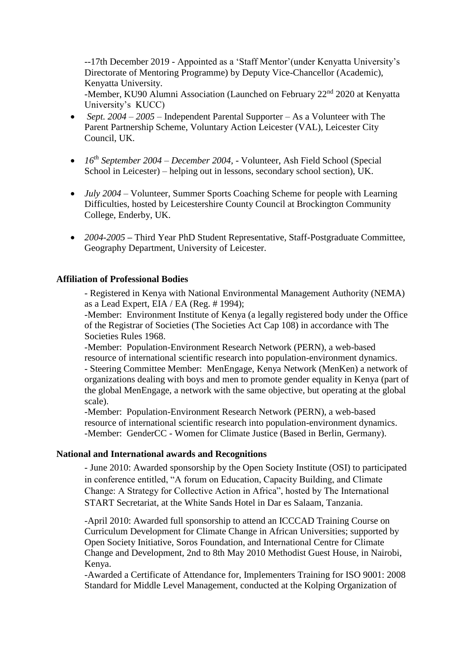--17th December 2019 - Appointed as a 'Staff Mentor'(under Kenyatta University's Directorate of Mentoring Programme) by Deputy Vice-Chancellor (Academic), Kenyatta University.

-Member, KU90 Alumni Association (Launched on February 22<sup>nd</sup> 2020 at Kenyatta University's KUCC)

- *Sept. 2004 – 2005*  Independent Parental Supporter As a Volunteer with The Parent Partnership Scheme, Voluntary Action Leicester (VAL), Leicester City Council, UK.
- *16th September 2004 – December 2004,* Volunteer, Ash Field School (Special School in Leicester) – helping out in lessons, secondary school section), UK.
- *July 2004* Volunteer, Summer Sports Coaching Scheme for people with Learning Difficulties, hosted by Leicestershire County Council at Brockington Community College, Enderby, UK.
- *2004-2005 –* Third Year PhD Student Representative, Staff-Postgraduate Committee, Geography Department, University of Leicester.

### **Affiliation of Professional Bodies**

- Registered in Kenya with National Environmental Management Authority (NEMA) as a Lead Expert, EIA / EA (Reg. # 1994);

-Member: Environment Institute of Kenya (a legally registered body under the Office of the Registrar of Societies (The Societies Act Cap 108) in accordance with The Societies Rules 1968.

-Member: Population-Environment Research Network (PERN), a web-based resource of international scientific research into population-environment dynamics. - Steering Committee Member: MenEngage, Kenya Network (MenKen) a network of organizations dealing with boys and men to promote gender equality in Kenya (part of the global MenEngage, a network with the same objective, but operating at the global scale).

-Member: Population-Environment Research Network (PERN), a web-based resource of international scientific research into population-environment dynamics. -Member: GenderCC - Women for Climate Justice (Based in Berlin, Germany).

## **National and International awards and Recognitions**

- June 2010: Awarded sponsorship by the Open Society Institute (OSI) to participated in conference entitled, "A forum on Education, Capacity Building, and Climate Change: A Strategy for Collective Action in Africa", hosted by The International START Secretariat, at the White Sands Hotel in Dar es Salaam, Tanzania.

-April 2010: Awarded full sponsorship to attend an ICCCAD Training Course on Curriculum Development for Climate Change in African Universities; supported by Open Society Initiative, Soros Foundation, and International Centre for Climate Change and Development, 2nd to 8th May 2010 Methodist Guest House, in Nairobi, Kenya.

-Awarded a Certificate of Attendance for, Implementers Training for ISO 9001: 2008 Standard for Middle Level Management, conducted at the Kolping Organization of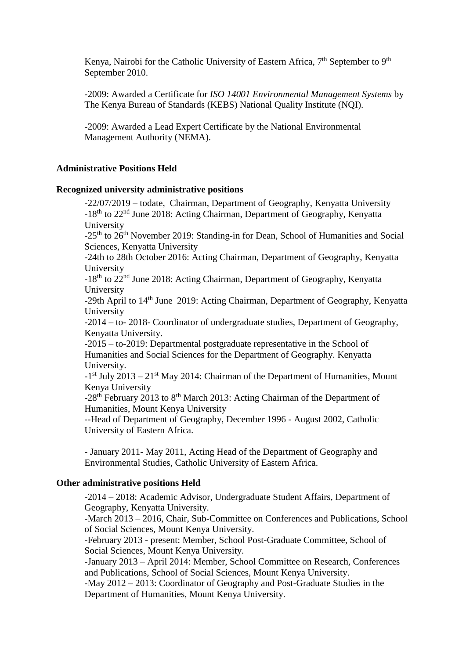Kenya, Nairobi for the Catholic University of Eastern Africa,  $7<sup>th</sup>$  September to 9<sup>th</sup> September 2010.

-2009: Awarded a Certificate for *ISO 14001 Environmental Management Systems* by The Kenya Bureau of Standards (KEBS) National Quality Institute (NQI).

-2009: Awarded a Lead Expert Certificate by the National Environmental Management Authority (NEMA).

## **Administrative Positions Held**

#### **Recognized university administrative positions**

-22/07/2019 – todate, Chairman, Department of Geography, Kenyatta University -18<sup>th</sup> to 22<sup>nd</sup> June 2018: Acting Chairman, Department of Geography, Kenyatta University

-25<sup>th</sup> to 26<sup>th</sup> November 2019: Standing-in for Dean, School of Humanities and Social Sciences, Kenyatta University

-24th to 28th October 2016: Acting Chairman, Department of Geography, Kenyatta University

-18<sup>th</sup> to 22<sup>nd</sup> June 2018: Acting Chairman, Department of Geography, Kenyatta University

-29th April to 14<sup>th</sup> June 2019: Acting Chairman, Department of Geography, Kenyatta University

-2014 – to- 2018- Coordinator of undergraduate studies, Department of Geography, Kenyatta University.

-2015 – to-2019: Departmental postgraduate representative in the School of Humanities and Social Sciences for the Department of Geography. Kenyatta University.

 $-1$ <sup>st</sup> July 2013 – 21<sup>st</sup> May 2014: Chairman of the Department of Humanities, Mount Kenya University

 $-28$ <sup>th</sup> February 2013 to  $8$ <sup>th</sup> March 2013: Acting Chairman of the Department of Humanities, Mount Kenya University

--Head of Department of Geography, December 1996 - August 2002, Catholic University of Eastern Africa.

- January 2011- May 2011, Acting Head of the Department of Geography and Environmental Studies, Catholic University of Eastern Africa.

## **Other administrative positions Held**

-2014 – 2018: Academic Advisor, Undergraduate Student Affairs, Department of Geography, Kenyatta University.

-March 2013 – 2016, Chair, Sub-Committee on Conferences and Publications, School of Social Sciences, Mount Kenya University.

-February 2013 - present: Member, School Post-Graduate Committee, School of Social Sciences, Mount Kenya University.

-January 2013 – April 2014: Member, School Committee on Research, Conferences and Publications, School of Social Sciences, Mount Kenya University.

-May 2012 – 2013: Coordinator of Geography and Post-Graduate Studies in the Department of Humanities, Mount Kenya University.